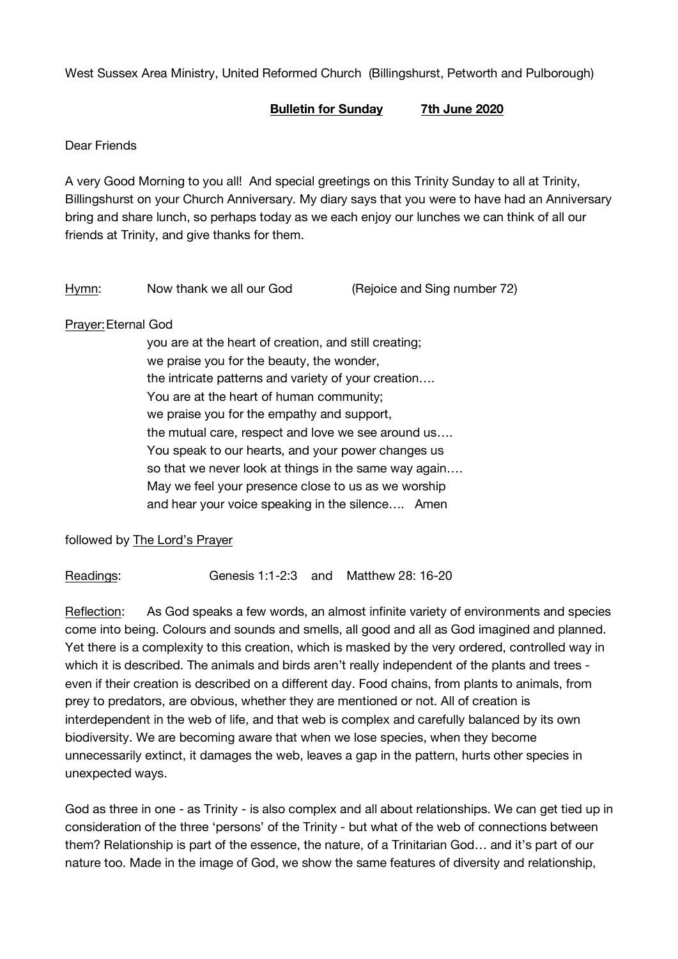West Sussex Area Ministry, United Reformed Church (Billingshurst, Petworth and Pulborough)

## **Bulletin for Sunday 7th June 2020**

## Dear Friends

A very Good Morning to you all! And special greetings on this Trinity Sunday to all at Trinity, Billingshurst on your Church Anniversary. My diary says that you were to have had an Anniversary bring and share lunch, so perhaps today as we each enjoy our lunches we can think of all our friends at Trinity, and give thanks for them.

Hymn: Now thank we all our God (Rejoice and Sing number 72)

## Prayer:Eternal God

you are at the heart of creation, and still creating; we praise you for the beauty, the wonder, the intricate patterns and variety of your creation…. You are at the heart of human community; we praise you for the empathy and support, the mutual care, respect and love we see around us…. You speak to our hearts, and your power changes us so that we never look at things in the same way again.... May we feel your presence close to us as we worship and hear your voice speaking in the silence…. Amen

followed by The Lord's Prayer

Readings: Genesis 1:1-2:3 and Matthew 28: 16-20

Reflection: As God speaks a few words, an almost infinite variety of environments and species come into being. Colours and sounds and smells, all good and all as God imagined and planned. Yet there is a complexity to this creation, which is masked by the very ordered, controlled way in which it is described. The animals and birds aren't really independent of the plants and trees even if their creation is described on a different day. Food chains, from plants to animals, from prey to predators, are obvious, whether they are mentioned or not. All of creation is interdependent in the web of life, and that web is complex and carefully balanced by its own biodiversity. We are becoming aware that when we lose species, when they become unnecessarily extinct, it damages the web, leaves a gap in the pattern, hurts other species in unexpected ways.

God as three in one - as Trinity - is also complex and all about relationships. We can get tied up in consideration of the three 'persons' of the Trinity - but what of the web of connections between them? Relationship is part of the essence, the nature, of a Trinitarian God… and it's part of our nature too. Made in the image of God, we show the same features of diversity and relationship,